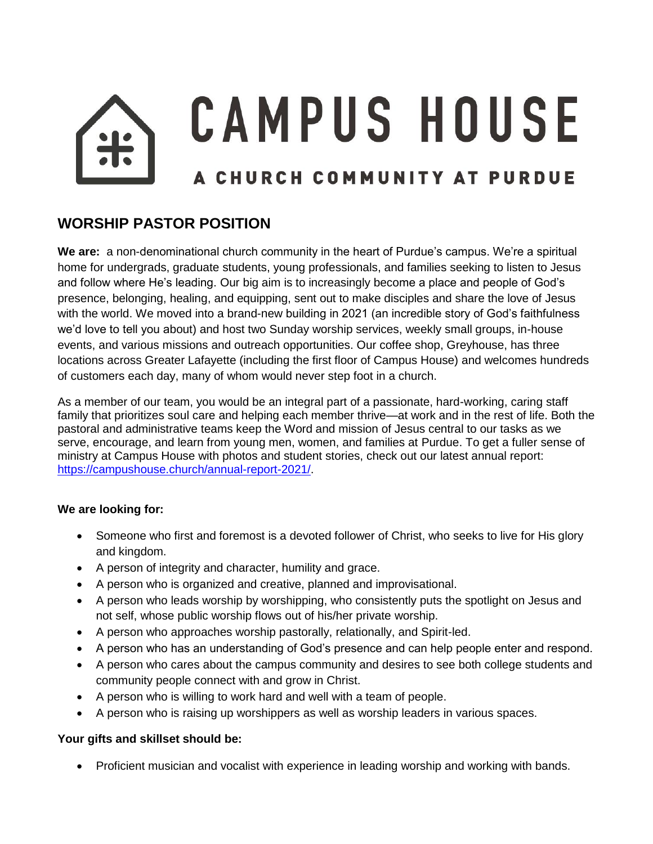# **CAMPUS HOUSE** A CHURCH COMMUNITY AT PURDUE

## **WORSHIP PASTOR POSITION**

**We are:** a non-denominational church community in the heart of Purdue's campus. We're a spiritual home for undergrads, graduate students, young professionals, and families seeking to listen to Jesus and follow where He's leading. Our big aim is to increasingly become a place and people of God's presence, belonging, healing, and equipping, sent out to make disciples and share the love of Jesus with the world. We moved into a brand-new building in 2021 (an incredible story of God's faithfulness we'd love to tell you about) and host two Sunday worship services, weekly small groups, in-house events, and various missions and outreach opportunities. Our coffee shop, Greyhouse, has three locations across Greater Lafayette (including the first floor of Campus House) and welcomes hundreds of customers each day, many of whom would never step foot in a church.

As a member of our team, you would be an integral part of a passionate, hard-working, caring staff family that prioritizes soul care and helping each member thrive—at work and in the rest of life. Both the pastoral and administrative teams keep the Word and mission of Jesus central to our tasks as we serve, encourage, and learn from young men, women, and families at Purdue. To get a fuller sense of ministry at Campus House with photos and student stories, check out our latest annual report: [https://campushouse.church/annual-report-2021/.](https://campushouse.church/annual-report-2021/)

### **We are looking for:**

- Someone who first and foremost is a devoted follower of Christ, who seeks to live for His glory and kingdom.
- A person of integrity and character, humility and grace.
- A person who is organized and creative, planned and improvisational.
- A person who leads worship by worshipping, who consistently puts the spotlight on Jesus and not self, whose public worship flows out of his/her private worship.
- A person who approaches worship pastorally, relationally, and Spirit-led.
- A person who has an understanding of God's presence and can help people enter and respond.
- A person who cares about the campus community and desires to see both college students and community people connect with and grow in Christ.
- A person who is willing to work hard and well with a team of people.
- A person who is raising up worshippers as well as worship leaders in various spaces.

### **Your gifts and skillset should be:**

• Proficient musician and vocalist with experience in leading worship and working with bands.